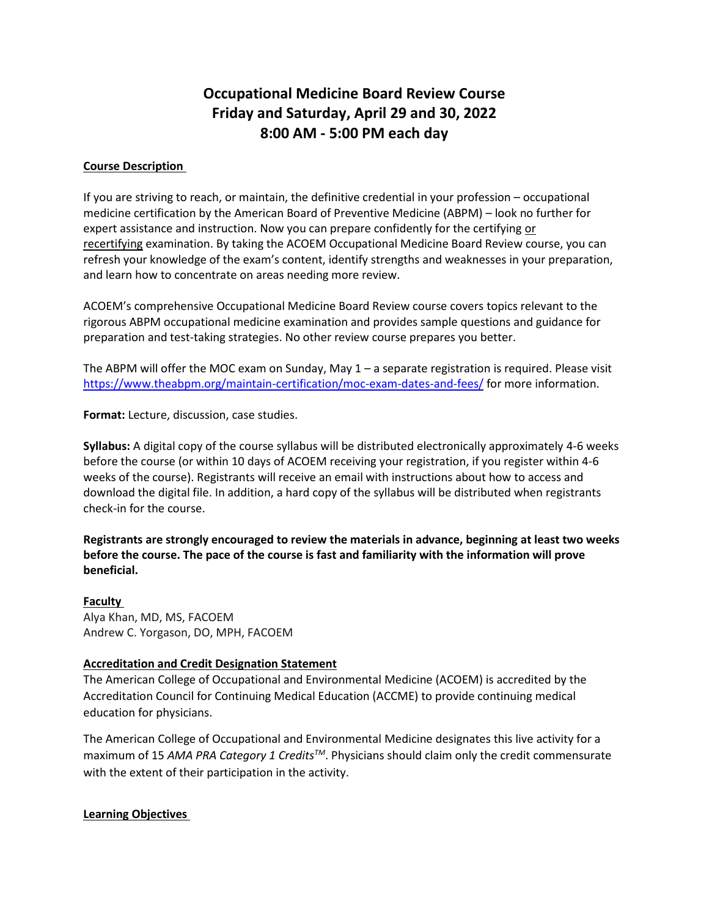# **Occupational Medicine Board Review Course Friday and Saturday, April 29 and 30, 2022 8:00 AM - 5:00 PM each day**

#### **Course Description**

If you are striving to reach, or maintain, the definitive credential in your profession – occupational medicine certification by the American Board of Preventive Medicine (ABPM) – look no further for expert assistance and instruction. Now you can prepare confidently for the certifying or recertifying examination. By taking the ACOEM Occupational Medicine Board Review course, you can refresh your knowledge of the exam's content, identify strengths and weaknesses in your preparation, and learn how to concentrate on areas needing more review.

ACOEM's comprehensive Occupational Medicine Board Review course covers topics relevant to the rigorous ABPM occupational medicine examination and provides sample questions and guidance for preparation and test-taking strategies. No other review course prepares you better.

The ABPM will offer the MOC exam on Sunday, May 1 – a separate registration is required. Please visit <https://www.theabpm.org/maintain-certification/moc-exam-dates-and-fees/> for more information.

**Format:** Lecture, discussion, case studies.

**Syllabus:** A digital copy of the course syllabus will be distributed electronically approximately 4-6 weeks before the course (or within 10 days of ACOEM receiving your registration, if you register within 4-6 weeks of the course). Registrants will receive an email with instructions about how to access and download the digital file. In addition, a hard copy of the syllabus will be distributed when registrants check-in for the course.

**Registrants are strongly encouraged to review the materials in advance, beginning at least two weeks before the course. The pace of the course is fast and familiarity with the information will prove beneficial.**

#### **Faculty**

Alya Khan, MD, MS, FACOEM Andrew C. Yorgason, DO, MPH, FACOEM

### **Accreditation and Credit Designation Statement**

The American College of Occupational and Environmental Medicine (ACOEM) is accredited by the Accreditation Council for Continuing Medical Education (ACCME) to provide continuing medical education for physicians.

The American College of Occupational and Environmental Medicine designates this live activity for a maximum of 15 *AMA PRA Category 1 CreditsTM*. Physicians should claim only the credit commensurate with the extent of their participation in the activity.

### **Learning Objectives**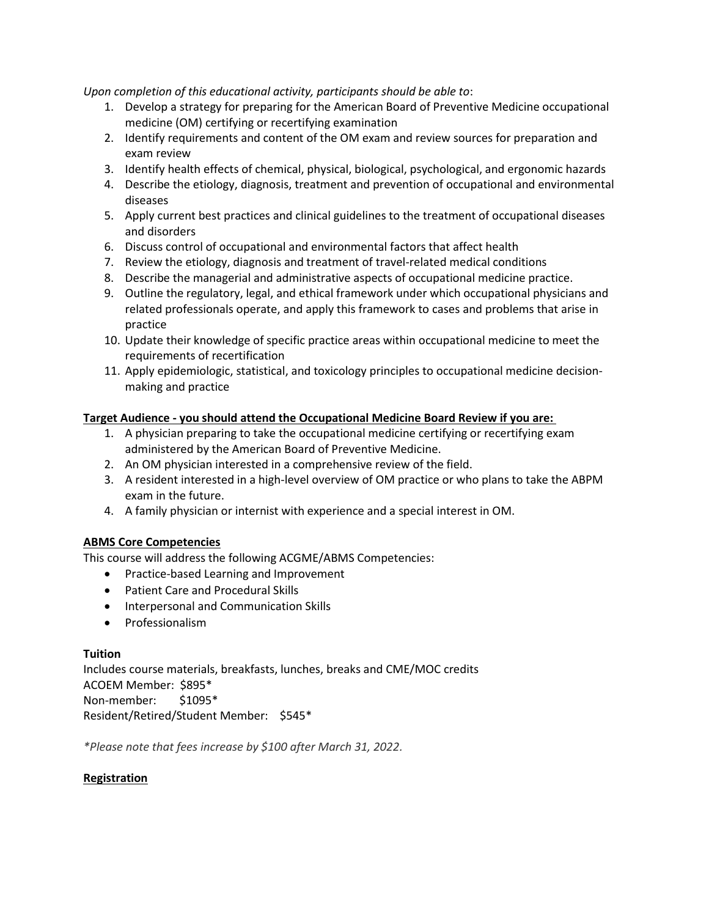*Upon completion of this educational activity, participants should be able to*:

- 1. Develop a strategy for preparing for the American Board of Preventive Medicine occupational medicine (OM) certifying or recertifying examination
- 2. Identify requirements and content of the OM exam and review sources for preparation and exam review
- 3. Identify health effects of chemical, physical, biological, psychological, and ergonomic hazards
- 4. Describe the etiology, diagnosis, treatment and prevention of occupational and environmental diseases
- 5. Apply current best practices and clinical guidelines to the treatment of occupational diseases and disorders
- 6. Discuss control of occupational and environmental factors that affect health
- 7. Review the etiology, diagnosis and treatment of travel-related medical conditions
- 8. Describe the managerial and administrative aspects of occupational medicine practice.
- 9. Outline the regulatory, legal, and ethical framework under which occupational physicians and related professionals operate, and apply this framework to cases and problems that arise in practice
- 10. Update their knowledge of specific practice areas within occupational medicine to meet the requirements of recertification
- 11. Apply epidemiologic, statistical, and toxicology principles to occupational medicine decisionmaking and practice

## **Target Audience - you should attend the Occupational Medicine Board Review if you are:**

- 1. A physician preparing to take the occupational medicine certifying or recertifying exam administered by the American Board of Preventive Medicine.
- 2. An OM physician interested in a comprehensive review of the field.
- 3. A resident interested in a high-level overview of OM practice or who plans to take the ABPM exam in the future.
- 4. A family physician or internist with experience and a special interest in OM.

### **ABMS Core Competencies**

This course will address the following ACGME/ABMS Competencies:

- Practice-based Learning and Improvement
- Patient Care and Procedural Skills
- Interpersonal and Communication Skills
- Professionalism

### **Tuition**

Includes course materials, breakfasts, lunches, breaks and CME/MOC credits ACOEM Member: \$895\* Non-member: \$1095\* Resident/Retired/Student Member: \$545\*

*\*Please note that fees increase by \$100 after March 31, 2022.* 

### **Registration**